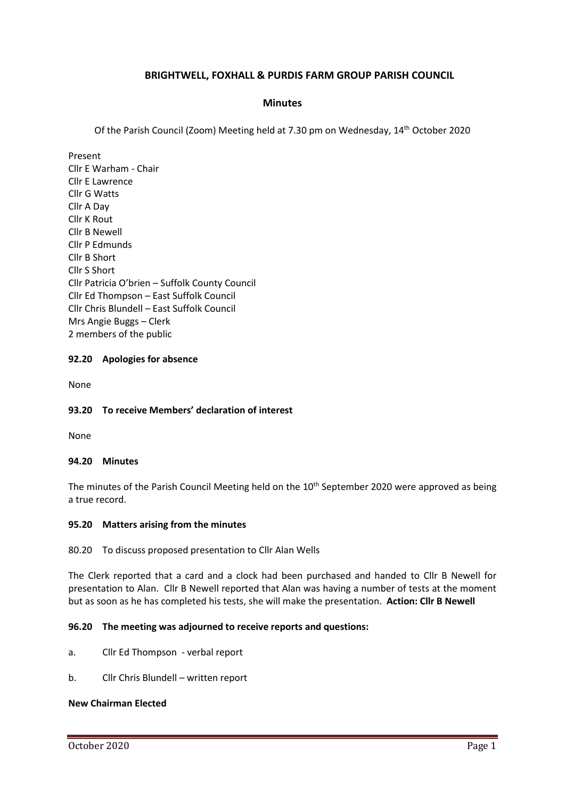# **BRIGHTWELL, FOXHALL & PURDIS FARM GROUP PARISH COUNCIL**

## **Minutes**

Of the Parish Council (Zoom) Meeting held at 7.30 pm on Wednesday, 14th October 2020

Present Cllr E Warham - Chair Cllr E Lawrence Cllr G Watts Cllr A Day Cllr K Rout Cllr B Newell Cllr P Edmunds Cllr B Short Cllr S Short Cllr Patricia O'brien – Suffolk County Council Cllr Ed Thompson – East Suffolk Council Cllr Chris Blundell – East Suffolk Council Mrs Angie Buggs – Clerk 2 members of the public

## **92.20 Apologies for absence**

None

### **93.20 To receive Members' declaration of interest**

None

#### **94.20 Minutes**

The minutes of the Parish Council Meeting held on the 10<sup>th</sup> September 2020 were approved as being a true record.

#### **95.20 Matters arising from the minutes**

80.20 To discuss proposed presentation to Cllr Alan Wells

The Clerk reported that a card and a clock had been purchased and handed to Cllr B Newell for presentation to Alan. Cllr B Newell reported that Alan was having a number of tests at the moment but as soon as he has completed his tests, she will make the presentation. **Action: Cllr B Newell**

#### **96.20 The meeting was adjourned to receive reports and questions:**

- a. Cllr Ed Thompson verbal report
- b. Cllr Chris Blundell written report

## **New Chairman Elected**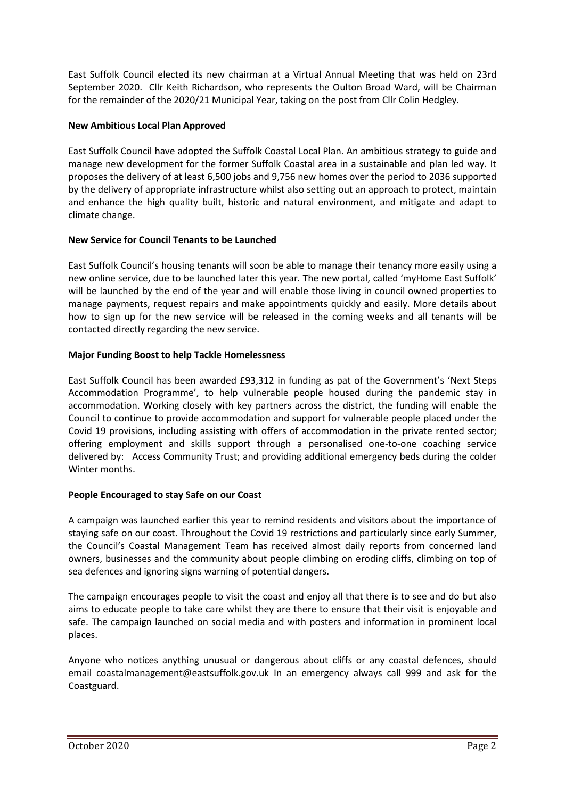East Suffolk Council elected its new chairman at a Virtual Annual Meeting that was held on 23rd September 2020. Cllr Keith Richardson, who represents the Oulton Broad Ward, will be Chairman for the remainder of the 2020/21 Municipal Year, taking on the post from Cllr Colin Hedgley.

# **New Ambitious Local Plan Approved**

East Suffolk Council have adopted the Suffolk Coastal Local Plan. An ambitious strategy to guide and manage new development for the former Suffolk Coastal area in a sustainable and plan led way. It proposes the delivery of at least 6,500 jobs and 9,756 new homes over the period to 2036 supported by the delivery of appropriate infrastructure whilst also setting out an approach to protect, maintain and enhance the high quality built, historic and natural environment, and mitigate and adapt to climate change.

# **New Service for Council Tenants to be Launched**

East Suffolk Council's housing tenants will soon be able to manage their tenancy more easily using a new online service, due to be launched later this year. The new portal, called 'myHome East Suffolk' will be launched by the end of the year and will enable those living in council owned properties to manage payments, request repairs and make appointments quickly and easily. More details about how to sign up for the new service will be released in the coming weeks and all tenants will be contacted directly regarding the new service.

# **Major Funding Boost to help Tackle Homelessness**

East Suffolk Council has been awarded £93,312 in funding as pat of the Government's 'Next Steps Accommodation Programme', to help vulnerable people housed during the pandemic stay in accommodation. Working closely with key partners across the district, the funding will enable the Council to continue to provide accommodation and support for vulnerable people placed under the Covid 19 provisions, including assisting with offers of accommodation in the private rented sector; offering employment and skills support through a personalised one-to-one coaching service delivered by: Access Community Trust; and providing additional emergency beds during the colder Winter months.

# **People Encouraged to stay Safe on our Coast**

A campaign was launched earlier this year to remind residents and visitors about the importance of staying safe on our coast. Throughout the Covid 19 restrictions and particularly since early Summer, the Council's Coastal Management Team has received almost daily reports from concerned land owners, businesses and the community about people climbing on eroding cliffs, climbing on top of sea defences and ignoring signs warning of potential dangers.

The campaign encourages people to visit the coast and enjoy all that there is to see and do but also aims to educate people to take care whilst they are there to ensure that their visit is enjoyable and safe. The campaign launched on social media and with posters and information in prominent local places.

Anyone who notices anything unusual or dangerous about cliffs or any coastal defences, should email [coastalmanagement@eastsuffolk.gov.uk](mailto:coastalmanagement@eastsuffolk.gov.uk) In an emergency always call 999 and ask for the Coastguard.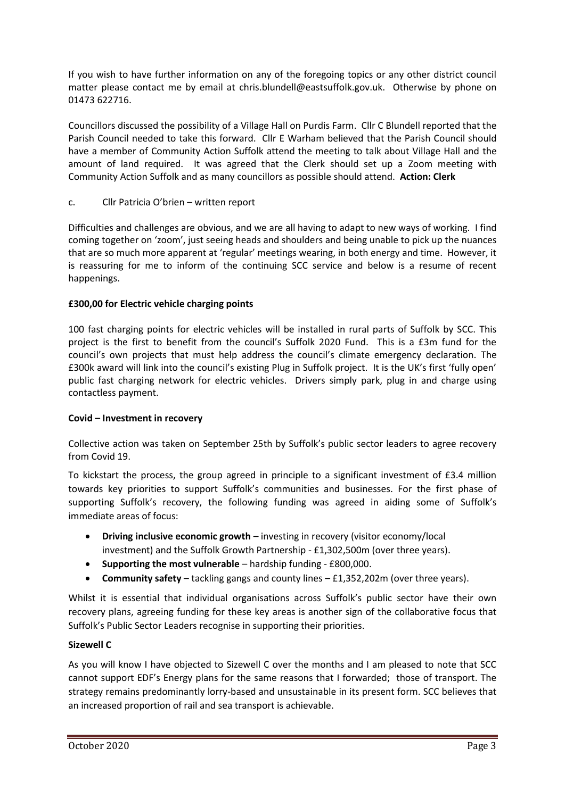If you wish to have further information on any of the foregoing topics or any other district council matter please contact me by email at [chris.blundell@eastsuffolk.gov.uk.](mailto:chris.blundell@eastsuffolk.gov.uk) Otherwise by phone on 01473 622716.

Councillors discussed the possibility of a Village Hall on Purdis Farm. Cllr C Blundell reported that the Parish Council needed to take this forward. Cllr E Warham believed that the Parish Council should have a member of Community Action Suffolk attend the meeting to talk about Village Hall and the amount of land required. It was agreed that the Clerk should set up a Zoom meeting with Community Action Suffolk and as many councillors as possible should attend. **Action: Clerk**

c. Cllr Patricia O'brien – written report

Difficulties and challenges are obvious, and we are all having to adapt to new ways of working. I find coming together on 'zoom', just seeing heads and shoulders and being unable to pick up the nuances that are so much more apparent at 'regular' meetings wearing, in both energy and time. However, it is reassuring for me to inform of the continuing SCC service and below is a resume of recent happenings.

# **£300,00 for Electric vehicle charging points**

100 fast charging points for electric vehicles will be installed in rural parts of Suffolk by SCC. This project is the first to benefit from the council's Suffolk 2020 Fund. This is a £3m fund for the council's own projects that must help address the council's climate emergency declaration. The £300k award will link into the council's existing Plug in Suffolk project. It is the UK's first 'fully open' public fast charging network for electric vehicles. Drivers simply park, plug in and charge using contactless payment.

# **Covid – Investment in recovery**

Collective action was taken on September 25th by Suffolk's public sector leaders to agree recovery from Covid 19.

To kickstart the process, the group agreed in principle to a significant investment of £3.4 million towards key priorities to support Suffolk's communities and businesses. For the first phase of supporting Suffolk's recovery, the following funding was agreed in aiding some of Suffolk's immediate areas of focus:

- **Driving inclusive economic growth** investing in recovery (visitor economy/local investment) and the Suffolk Growth Partnership - £1,302,500m (over three years).
- **Supporting the most vulnerable** hardship funding £800,000.
- **Community safety** tackling gangs and county lines £1,352,202m (over three years).

Whilst it is essential that individual organisations across Suffolk's public sector have their own recovery plans, agreeing funding for these key areas is another sign of the collaborative focus that Suffolk's Public Sector Leaders recognise in supporting their priorities.

# **Sizewell C**

As you will know I have objected to Sizewell C over the months and I am pleased to note that SCC cannot support EDF's Energy plans for the same reasons that I forwarded; those of transport. The strategy remains predominantly lorry-based and unsustainable in its present form. SCC believes that an increased proportion of rail and sea transport is achievable.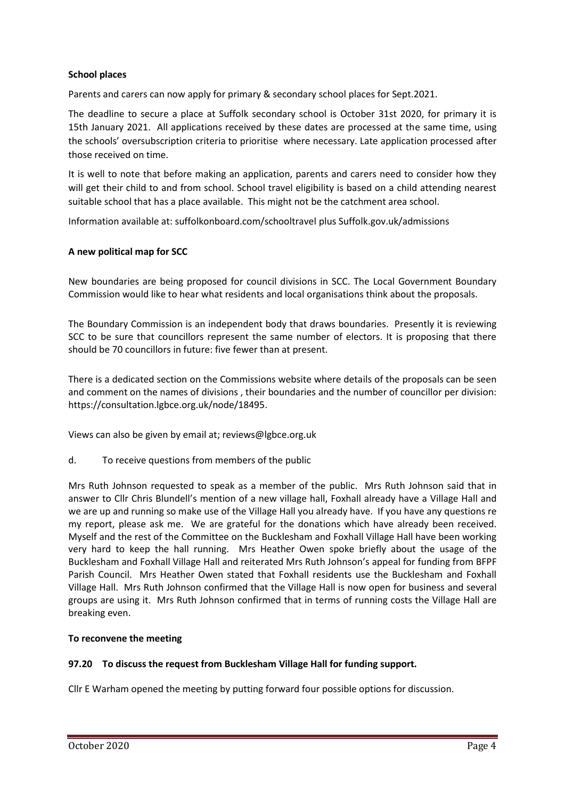# **School places**

Parents and carers can now apply for primary & secondary school places for Sept.2021.

The deadline to secure a place at Suffolk secondary school is October 31st 2020, for primary it is 15th January 2021. All applications received by these dates are processed at the same time, using the schools' oversubscription criteria to prioritise where necessary. Late application processed after those received on time.

It is well to note that before making an application, parents and carers need to consider how they will get their child to and from school. School travel eligibility is based on a child attending nearest suitable school that has a place available. This might not be the catchment area school.

Information available at: suffolkonboard.com/schooltravel plus Suffolk.gov.uk/admissions

## **A new political map for SCC**

New boundaries are being proposed for council divisions in SCC. The Local Government Boundary Commission would like to hear what residents and local organisations think about the proposals.

The Boundary Commission is an independent body that draws boundaries. Presently it is reviewing SCC to be sure that councillors represent the same number of electors. It is proposing that there should be 70 councillors in future: five fewer than at present.

There is a dedicated section on the Commissions website where details of the proposals can be seen and comment on the names of divisions , their boundaries and the number of councillor per division: [https://consultation.lgbce.org.uk/node/18495.](https://consultation.lgbce.org.uk/node/18495)

Views can also be given by email at; [reviews@lgbce.org.uk](mailto:reviews@lgbce.org.uk)

d. To receive questions from members of the public

Mrs Ruth Johnson requested to speak as a member of the public. Mrs Ruth Johnson said that in answer to Cllr Chris Blundell's mention of a new village hall, Foxhall already have a Village Hall and we are up and running so make use of the Village Hall you already have. If you have any questions re my report, please ask me. We are grateful for the donations which have already been received. Myself and the rest of the Committee on the Bucklesham and Foxhall Village Hall have been working very hard to keep the hall running. Mrs Heather Owen spoke briefly about the usage of the Bucklesham and Foxhall Village Hall and reiterated Mrs Ruth Johnson's appeal for funding from BFPF Parish Council. Mrs Heather Owen stated that Foxhall residents use the Bucklesham and Foxhall Village Hall. Mrs Ruth Johnson confirmed that the Village Hall is now open for business and several groups are using it. Mrs Ruth Johnson confirmed that in terms of running costs the Village Hall are breaking even.

#### **To reconvene the meeting**

#### **97.20 To discuss the request from Bucklesham Village Hall for funding support.**

Cllr E Warham opened the meeting by putting forward four possible options for discussion.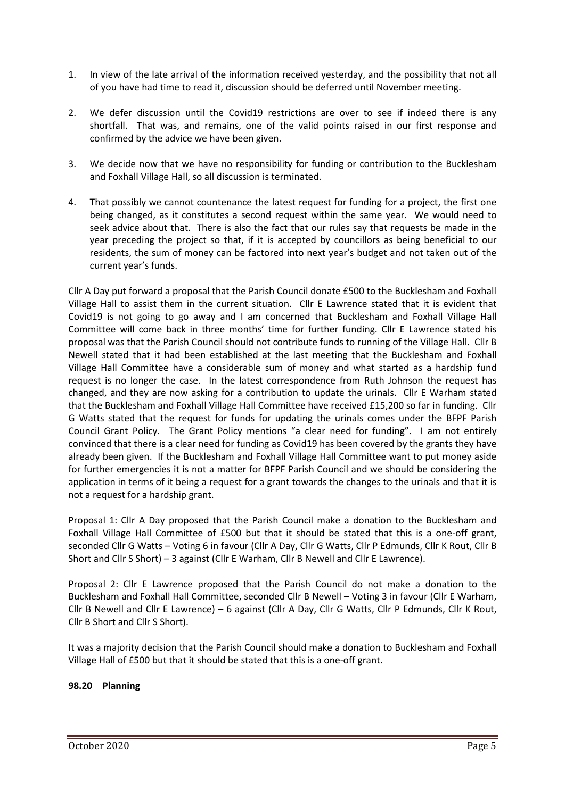- 1. In view of the late arrival of the information received yesterday, and the possibility that not all of you have had time to read it, discussion should be deferred until November meeting.
- 2. We defer discussion until the Covid19 restrictions are over to see if indeed there is any shortfall. That was, and remains, one of the valid points raised in our first response and confirmed by the advice we have been given.
- 3. We decide now that we have no responsibility for funding or contribution to the Bucklesham and Foxhall Village Hall, so all discussion is terminated.
- 4. That possibly we cannot countenance the latest request for funding for a project, the first one being changed, as it constitutes a second request within the same year. We would need to seek advice about that. There is also the fact that our rules say that requests be made in the year preceding the project so that, if it is accepted by councillors as being beneficial to our residents, the sum of money can be factored into next year's budget and not taken out of the current year's funds.

Cllr A Day put forward a proposal that the Parish Council donate £500 to the Bucklesham and Foxhall Village Hall to assist them in the current situation. Cllr E Lawrence stated that it is evident that Covid19 is not going to go away and I am concerned that Bucklesham and Foxhall Village Hall Committee will come back in three months' time for further funding. Cllr E Lawrence stated his proposal was that the Parish Council should not contribute funds to running of the Village Hall. Cllr B Newell stated that it had been established at the last meeting that the Bucklesham and Foxhall Village Hall Committee have a considerable sum of money and what started as a hardship fund request is no longer the case. In the latest correspondence from Ruth Johnson the request has changed, and they are now asking for a contribution to update the urinals. Cllr E Warham stated that the Bucklesham and Foxhall Village Hall Committee have received £15,200 so far in funding. Cllr G Watts stated that the request for funds for updating the urinals comes under the BFPF Parish Council Grant Policy. The Grant Policy mentions "a clear need for funding". I am not entirely convinced that there is a clear need for funding as Covid19 has been covered by the grants they have already been given. If the Bucklesham and Foxhall Village Hall Committee want to put money aside for further emergencies it is not a matter for BFPF Parish Council and we should be considering the application in terms of it being a request for a grant towards the changes to the urinals and that it is not a request for a hardship grant.

Proposal 1: Cllr A Day proposed that the Parish Council make a donation to the Bucklesham and Foxhall Village Hall Committee of £500 but that it should be stated that this is a one-off grant, seconded Cllr G Watts – Voting 6 in favour (Cllr A Day, Cllr G Watts, Cllr P Edmunds, Cllr K Rout, Cllr B Short and Cllr S Short) – 3 against (Cllr E Warham, Cllr B Newell and Cllr E Lawrence).

Proposal 2: Cllr E Lawrence proposed that the Parish Council do not make a donation to the Bucklesham and Foxhall Hall Committee, seconded Cllr B Newell – Voting 3 in favour (Cllr E Warham, Cllr B Newell and Cllr E Lawrence) – 6 against (Cllr A Day, Cllr G Watts, Cllr P Edmunds, Cllr K Rout, Cllr B Short and Cllr S Short).

It was a majority decision that the Parish Council should make a donation to Bucklesham and Foxhall Village Hall of £500 but that it should be stated that this is a one-off grant.

# **98.20 Planning**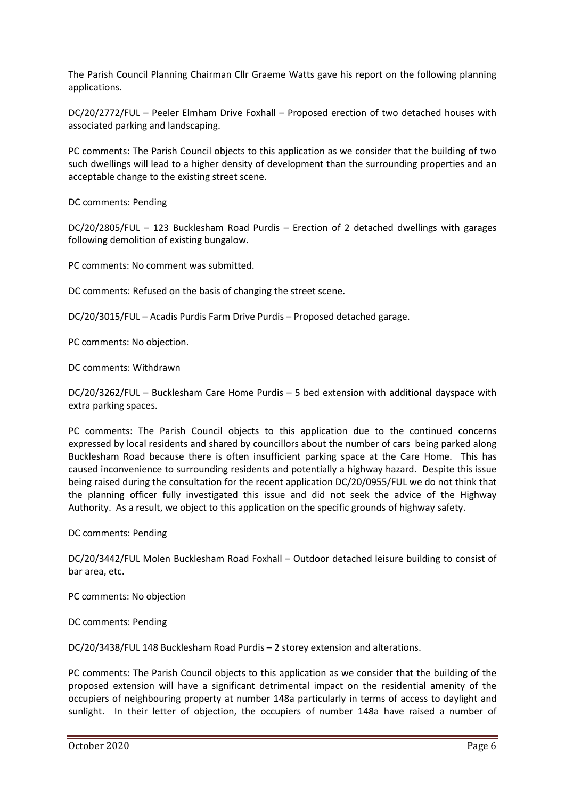The Parish Council Planning Chairman Cllr Graeme Watts gave his report on the following planning applications.

DC/20/2772/FUL – Peeler Elmham Drive Foxhall – Proposed erection of two detached houses with associated parking and landscaping.

PC comments: The Parish Council objects to this application as we consider that the building of two such dwellings will lead to a higher density of development than the surrounding properties and an acceptable change to the existing street scene.

DC comments: Pending

DC/20/2805/FUL – 123 Bucklesham Road Purdis – Erection of 2 detached dwellings with garages following demolition of existing bungalow.

PC comments: No comment was submitted.

DC comments: Refused on the basis of changing the street scene.

DC/20/3015/FUL – Acadis Purdis Farm Drive Purdis – Proposed detached garage.

PC comments: No objection.

DC comments: Withdrawn

DC/20/3262/FUL – Bucklesham Care Home Purdis – 5 bed extension with additional dayspace with extra parking spaces.

PC comments: The Parish Council objects to this application due to the continued concerns expressed by local residents and shared by councillors about the number of cars being parked along Bucklesham Road because there is often insufficient parking space at the Care Home. This has caused inconvenience to surrounding residents and potentially a highway hazard. Despite this issue being raised during the consultation for the recent application DC/20/0955/FUL we do not think that the planning officer fully investigated this issue and did not seek the advice of the Highway Authority. As a result, we object to this application on the specific grounds of highway safety.

DC comments: Pending

DC/20/3442/FUL Molen Bucklesham Road Foxhall – Outdoor detached leisure building to consist of bar area, etc.

PC comments: No objection

DC comments: Pending

DC/20/3438/FUL 148 Bucklesham Road Purdis – 2 storey extension and alterations.

PC comments: The Parish Council objects to this application as we consider that the building of the proposed extension will have a significant detrimental impact on the residential amenity of the occupiers of neighbouring property at number 148a particularly in terms of access to daylight and sunlight. In their letter of objection, the occupiers of number 148a have raised a number of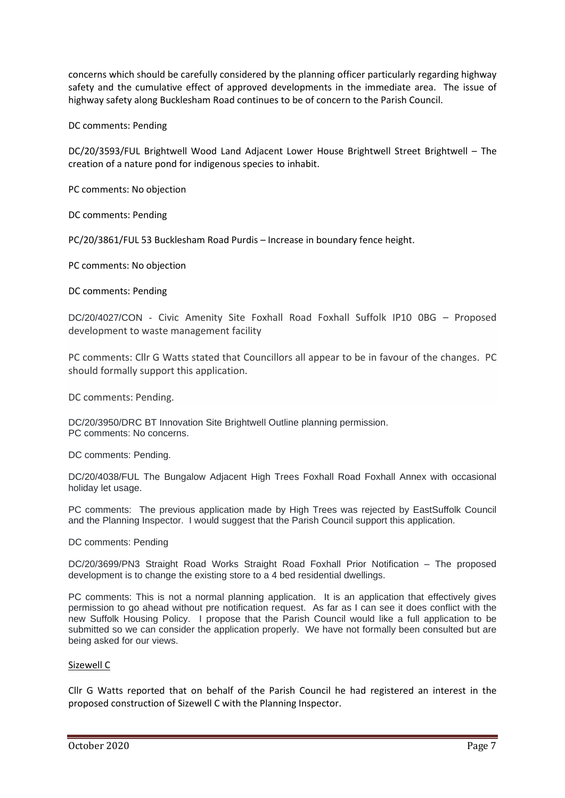concerns which should be carefully considered by the planning officer particularly regarding highway safety and the cumulative effect of approved developments in the immediate area. The issue of highway safety along Bucklesham Road continues to be of concern to the Parish Council.

### DC comments: Pending

DC/20/3593/FUL Brightwell Wood Land Adjacent Lower House Brightwell Street Brightwell – The creation of a nature pond for indigenous species to inhabit.

PC comments: No objection

DC comments: Pending

PC/20/3861/FUL 53 Bucklesham Road Purdis – Increase in boundary fence height.

PC comments: No objection

#### DC comments: Pending

DC/20/4027/CON - Civic Amenity Site Foxhall Road Foxhall Suffolk IP10 0BG – Proposed development to waste management facility

PC comments: Cllr G Watts stated that Councillors all appear to be in favour of the changes. PC should formally support this application.

DC comments: Pending.

DC/20/3950/DRC BT Innovation Site Brightwell Outline planning permission. PC comments: No concerns.

DC comments: Pending.

DC/20/4038/FUL The Bungalow Adjacent High Trees Foxhall Road Foxhall Annex with occasional holiday let usage.

PC comments: The previous application made by High Trees was rejected by EastSuffolk Council and the Planning Inspector. I would suggest that the Parish Council support this application.

#### DC comments: Pending

DC/20/3699/PN3 Straight Road Works Straight Road Foxhall Prior Notification – The proposed development is to change the existing store to a 4 bed residential dwellings.

PC comments: This is not a normal planning application. It is an application that effectively gives permission to go ahead without pre notification request. As far as I can see it does conflict with the new Suffolk Housing Policy. I propose that the Parish Council would like a full application to be submitted so we can consider the application properly. We have not formally been consulted but are being asked for our views.

#### Sizewell C

Cllr G Watts reported that on behalf of the Parish Council he had registered an interest in the proposed construction of Sizewell C with the Planning Inspector.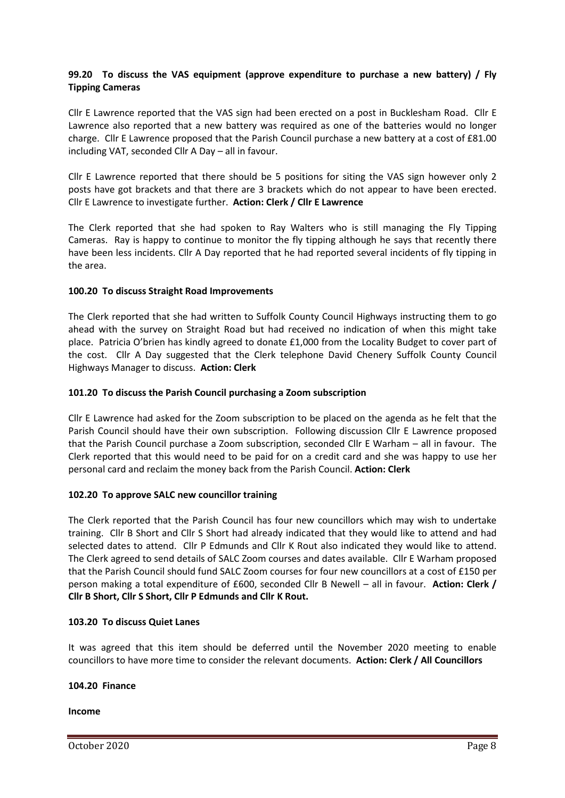# **99.20 To discuss the VAS equipment (approve expenditure to purchase a new battery) / Fly Tipping Cameras**

Cllr E Lawrence reported that the VAS sign had been erected on a post in Bucklesham Road. Cllr E Lawrence also reported that a new battery was required as one of the batteries would no longer charge. Cllr E Lawrence proposed that the Parish Council purchase a new battery at a cost of £81.00 including VAT, seconded Cllr A Day – all in favour.

Cllr E Lawrence reported that there should be 5 positions for siting the VAS sign however only 2 posts have got brackets and that there are 3 brackets which do not appear to have been erected. Cllr E Lawrence to investigate further. **Action: Clerk / Cllr E Lawrence**

The Clerk reported that she had spoken to Ray Walters who is still managing the Fly Tipping Cameras. Ray is happy to continue to monitor the fly tipping although he says that recently there have been less incidents. Cllr A Day reported that he had reported several incidents of fly tipping in the area.

## **100.20 To discuss Straight Road Improvements**

The Clerk reported that she had written to Suffolk County Council Highways instructing them to go ahead with the survey on Straight Road but had received no indication of when this might take place. Patricia O'brien has kindly agreed to donate £1,000 from the Locality Budget to cover part of the cost. Cllr A Day suggested that the Clerk telephone David Chenery Suffolk County Council Highways Manager to discuss. **Action: Clerk**

## **101.20 To discuss the Parish Council purchasing a Zoom subscription**

Cllr E Lawrence had asked for the Zoom subscription to be placed on the agenda as he felt that the Parish Council should have their own subscription. Following discussion Cllr E Lawrence proposed that the Parish Council purchase a Zoom subscription, seconded Cllr E Warham – all in favour. The Clerk reported that this would need to be paid for on a credit card and she was happy to use her personal card and reclaim the money back from the Parish Council. **Action: Clerk**

# **102.20 To approve SALC new councillor training**

The Clerk reported that the Parish Council has four new councillors which may wish to undertake training. Cllr B Short and Cllr S Short had already indicated that they would like to attend and had selected dates to attend. Cllr P Edmunds and Cllr K Rout also indicated they would like to attend. The Clerk agreed to send details of SALC Zoom courses and dates available. Cllr E Warham proposed that the Parish Council should fund SALC Zoom courses for four new councillors at a cost of £150 per person making a total expenditure of £600, seconded Cllr B Newell – all in favour. **Action: Clerk / Cllr B Short, Cllr S Short, Cllr P Edmunds and Cllr K Rout.**

#### **103.20 To discuss Quiet Lanes**

It was agreed that this item should be deferred until the November 2020 meeting to enable councillors to have more time to consider the relevant documents. **Action: Clerk / All Councillors**

#### **104.20 Finance**

**Income**